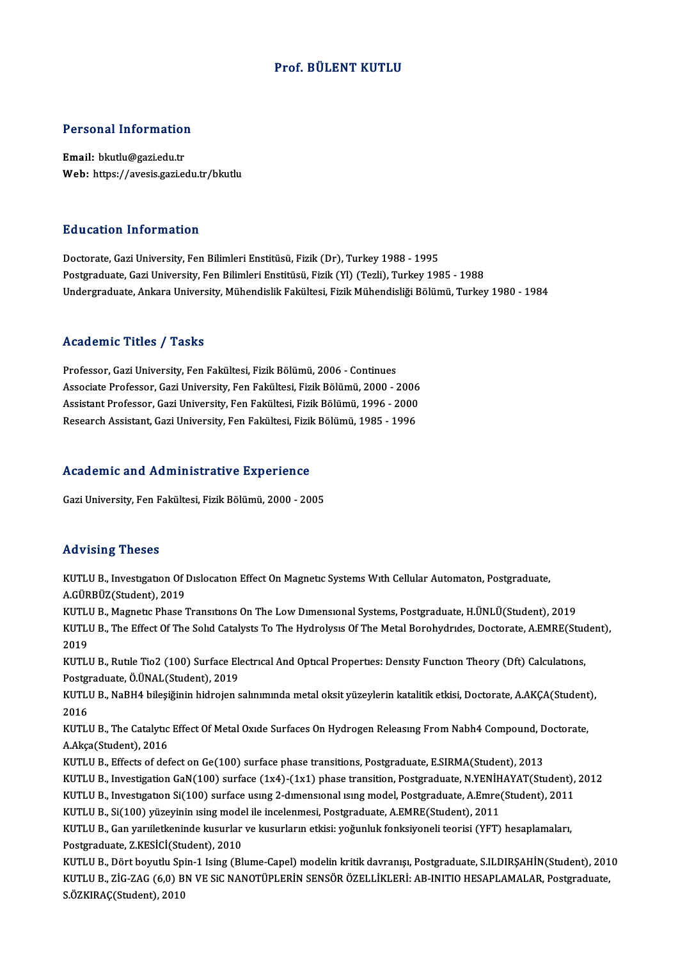### Prof. BÜLENT KUTLU

# Personal Information

Personal Information<br>Email: bkutlu@gazi.edu.tr<br>Web: https://avesis.gazi.ed Email: bkutlu@gazi.edu.tr<br>Web: https://avesis.gazi.edu.tr/bkutlu

### Education Information

Doctorate, Gazi University, Fen Bilimleri Enstitüsü, Fizik (Dr), Turkey 1988 - 1995 Postgraduate, Gazi University, Fen Bilimleri Enstitüsü, Fizik (Yl) (Tezli), Turkey 1985 - 1988 Undergraduate, Ankara University, Mühendislik Fakültesi, Fizik Mühendisliği Bölümü, Turkey 1980 - 1984

#### Academic Titles / Tasks

Professor, Gazi University, Fen Fakültesi, Fizik Bölümü, 2006 - Continues Associate Professor, Gazi University, Fen Fakültesi, Fizik Bölümü, 2000 - 2006 Professor, Gazi University, Fen Fakültesi, Fizik Bölümü, 2006 - Continues<br>Associate Professor, Gazi University, Fen Fakültesi, Fizik Bölümü, 2000 - 2006<br>Assistant Professor, Gazi University, Fen Fakültesi, Fizik Bölümü, 19 Associate Professor, Gazi University, Fen Fakültesi, Fizik Bölümü, 2000 - 2006<br>Assistant Professor, Gazi University, Fen Fakültesi, Fizik Bölümü, 1996 - 2000<br>Research Assistant, Gazi University, Fen Fakültesi, Fizik Bölümü

# Research Assistant, Gazi University, Fen Fakultesi, Fizik<br>Academic and Administrative Experience Academic and Administrative Experience<br>Gazi University, Fen Fakültesi, Fizik Bölümü, 2000 - 2005

Gazi University, Fen Fakültesi, Fizik Bölümü, 2000 - 2005<br>Advising Theses

Advising Theses<br>KUTLU B., Investıgatıon Of Dıslocatıon Effect On Magnetıc Systems Wıth Cellular Automaton, Postgraduate,<br>A.CÜPPÜZ(Student), 2019 A.GÜRBÜZ(Student),2019 KUTLU B., Investigation Of Dislocation Effect On Magnetic Systems With Cellular Automaton, Postgraduate,<br>A.GÜRBÜZ(Student), 2019<br>KUTLU B., Magnetic Phase Transitions On The Low Dimensional Systems, Postgraduate, H.ÜNLÜ(Stu

A.GÜRBÜZ(Student), 2019<br>KUTLU B., Magnetic Phase Transitions On The Low Dimensional Systems, Postgraduate, H.ÜNLÜ(Student), 2019<br>KUTLU B., The Effect Of The Solid Catalysts To The Hydrolysis Of The Metal Borohydrides, Doct KUTL<mark>I</mark><br>KUTLI<br>2019<br>KUTLI KUTLU B., The Effect Of The Solid Catalysts To The Hydrolysis Of The Metal Borohydrides, Doctorate, A.EMRE(Stud<br>2019<br>KUTLU B., Rutile Tio2 (100) Surface Electrical And Optical Properties: Density Function Theory (Dft) Calc

2019<br>KUTLU B., Rutile Tio2 (100) Surface Ele<br>Postgraduate, Ö.ÜNAL(Student), 2019<br>KUTLU B., NoBH4 bilesižinin bidrajan a KUTLU B., Rutile Tio2 (100) Surface Electrical And Optical Properties: Density Function Theory (Dft) Calculations,<br>Postgraduate, Ö.ÜNAL(Student), 2019<br>KUTLU B., NaBH4 bileşiğinin hidrojen salınımında metal oksit yüzeylerin

Post<mark>gi</mark><br>KUTLI<br>2016<br>KUTU KUTLU B., NaBH4 bileşiğinin hidrojen salınımında metal oksit yüzeylerin katalitik etkisi, Doctorate, A.AKÇA(Student<br>2016<br>KUTLU B., The Catalytic Effect Of Metal Oxide Surfaces On Hydrogen Releasing From Nabh4 Compound, Doc

2016<br>KUTLU B., The Catalytic<br>A.Akça(Student), 2016<br>KUTLU B. Effects of def KUTLU B., The Catalytic Effect Of Metal Oxide Surfaces On Hydrogen Releasing From Nabh4 Compound, D<br>A.Akça(Student), 2016<br>KUTLU B., Effects of defect on Ge(100) surface phase transitions, Postgraduate, E.SIRMA(Student), 20 A.Akça(Student), 2016<br>KUTLU B., Effects of defect on Ge(100) surface phase transitions, Postgraduate, E.SIRMA(Student), 2013<br>KUTLU B., Investigation GaN(100) surface (1x4)-(1x1) phase transition, Postgraduate, N.YENİHAYAT(

- 
- KUTLU B., Effects of defect on Ge(100) surface phase transitions, Postgraduate, E.SIRMA(Student), 2013<br>KUTLU B., Investigation GaN(100) surface (1x4)-(1x1) phase transition, Postgraduate, N.YENİHAYAT(Student),<br>KUTLU B., In KUTLU B., Investigation GaN(100) surface (1x4)-(1x1) phase transition, Postgraduate, N.YENİH<br>KUTLU B., Investigation Si(100) surface using 2-dimensional ising model, Postgraduate, A.Emre<br>KUTLU B., Si(100) yüzeyinin ising m
	-

KUTLU B., Investigation Si(100) surface using 2-dimensional ising model, Postgraduate, A.Emre(Student), 2011<br>KUTLU B., Si(100) yüzeyinin ising model ile incelenmesi, Postgraduate, A.EMRE(Student), 2011<br>KUTLU B., Gan yarıil KUTLU B., Si(100) yüzeyinin ısing mode<br>KUTLU B., Gan yarıiletkeninde kusurlar<br>Postgraduate, Z.KESİCİ(Student), 2010<br>KUTLU B. Dört bevutlu Spin 1 king (Bl Postgraduate, Z.KESİCİ(Student), 2010<br>KUTLU B., Dört boyutlu Spin-1 Ising (Blume-Capel) modelin kritik davranışı, Postgraduate, S.ILDIRŞAHİN(Student), 2010

Postgraduate, Z.KESİCİ(Student), 2010<br>KUTLU B., Dört boyutlu Spin-1 Ising (Blume-Capel) modelin kritik davranışı, Postgraduate, S.ILDIRŞAHİN(Student), 201<br>KUTLU B., ZİG-ZAG (6,0) BN VE SiC NANOTÜPLERİN SENSÖR ÖZELLİKLERİ: KUTLU B., Dört boyutlu Sp<br>KUTLU B., ZİG-ZAG (6,0) B<br>S.ÖZKIRAÇ(Student), 2010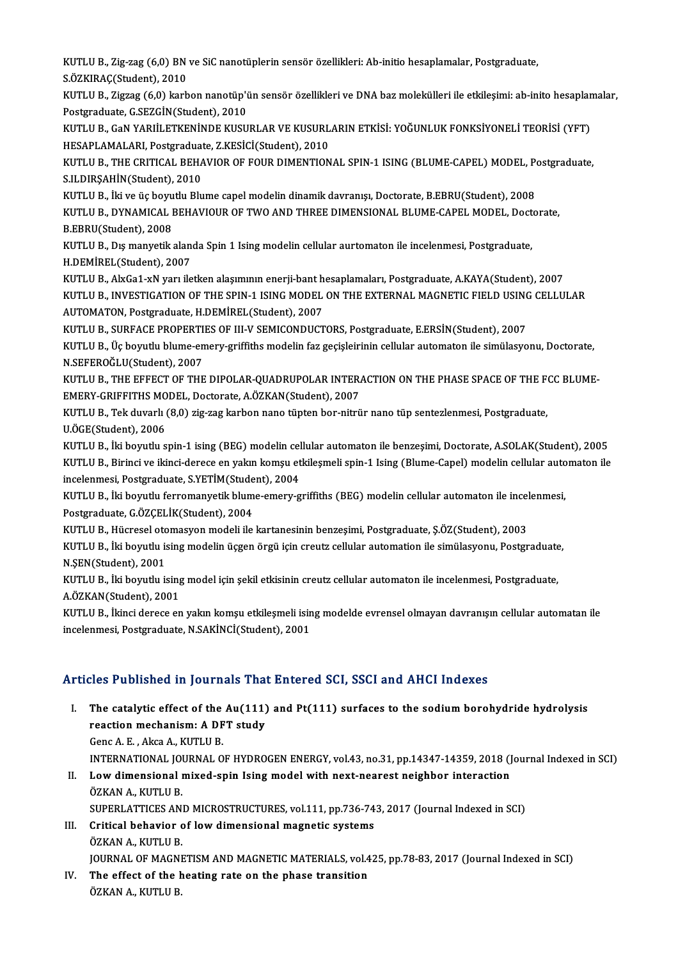KUTLU B., Zig-zag (6,0) BN ve SiC nanotüplerin sensör özellikleri: Ab-initio hesaplamalar, Postgraduate,<br>S ÖZKIRAC(Student), 2010 KUTLU B., Zig-zag (6,0) BN<br>S.ÖZKIRAÇ(Student), 2010<br>KUTU U B., Zigreg (6.0) karb KUTLU B., Zig-zag (6,0) BN ve SiC nanotüplerin sensör özellikleri: Ab-initio hesaplamalar, Postgraduate,<br>S.ÖZKIRAÇ(Student), 2010<br>KUTLU B., Zigzag (6,0) karbon nanotüp'ün sensör özellikleri ve DNA baz molekülleri ile etkil

S.ÖZKIRAÇ(Student), 2010<br>KUTLU B., Zigzag (6,0) karbon nanotüp'i<br>Postgraduate, G.SEZGİN(Student), 2010<br>KUTU U B. GAN YABIİLETKENİNDE KUSU KUTLU B., Zigzag (6,0) karbon nanotüp'ün sensör özellikleri ve DNA baz molekülleri ile etkileşimi: ab-inito hesaplar<br>Postgraduate, G.SEZGİN(Student), 2010<br>KUTLU B., GaN YARIİLETKENİNDE KUSURLAR VE KUSURLARIN ETKİSİ: YOĞUNL

Postgraduate, G.SEZGİN(Student), 2010<br>KUTLU B., GaN YARIİLETKENİNDE KUSURLAR VE KUSURL<br>HESAPLAMALARI, Postgraduate, Z.KESİCİ(Student), 2010<br>KUTLU B., THE CRITICAL REHAVIOR OE FOUR DIMENTION KUTLU B., GaN YARIİLETKENİNDE KUSURLAR VE KUSURLARIN ETKİSİ: YOĞUNLUK FONKSİYONELİ TEORİSİ (YFT)<br>HESAPLAMALARI, Postgraduate, Z.KESİCİ(Student), 2010<br>KUTLU B., THE CRITICAL BEHAVIOR OF FOUR DIMENTIONAL SPIN-1 ISING (BLUME-

HESAPLAMALARI, Postgraduat<br>KUTLU B., THE CRITICAL BEHA<br>S.ILDIRŞAHİN(Student), 2010<br>KUTLU B., İki ve üs beyytlu Blu KUTLU B., THE CRITICAL BEHAVIOR OF FOUR DIMENTIONAL SPIN-1 ISING (BLUME-CAPEL) MODEL, Pe<br>S.ILDIRŞAHİN(Student), 2010<br>KUTLU B., İki ve üç boyutlu Blume capel modelin dinamik davranışı, Doctorate, B.EBRU(Student), 2008<br>KUTLU

S.ILDIRŞAHİN(Student), 2010<br>KUTLU B., İki ve üç boyutlu Blume capel modelin dinamik davranışı, Doctorate, B.EBRU(Student), 2008<br>KUTLU B., DYNAMICAL BEHAVIOUR OF TWO AND THREE DIMENSIONAL BLUME-CAPEL MODEL, Doctorate,<br>R.FRR KUTLU B., İki ve üç boyu<br>KUTLU B., DYNAMICAL I<br>B.EBRU(Student), 2008<br>KUTLU B., Dış manyatik KUTLU B., DYNAMICAL BEHAVIOUR OF TWO AND THREE DIMENSIONAL BLUME-CAPEL MODEL, Doct<br>B.EBRU(Student), 2008<br>KUTLU B., Dış manyetik alanda Spin 1 Ising modelin cellular aurtomaton ile incelenmesi, Postgraduate,<br>H.DEMİREL (Stud

B.EBRU(Student), 2008<br>KUTLU B., Dış manyetik alanda Spin 1 Ising modelin cellular aurtomaton ile incelenmesi, Postgraduate,<br>H.DEMİREL(Student), 2007 KUTLU B., Dış manyetik alanda Spin 1 Ising modelin cellular aurtomaton ile incelenmesi, Postgraduate,<br>H.DEMİREL(Student), 2007<br>KUTLU B., AlxGa1-xN yarı iletken alaşımının enerji-bant hesaplamaları, Postgraduate, A.KAYA(Stu

H.DEMİREL(Student), 2007<br>KUTLU B., AlxGa1-xN yarı iletken alaşımının enerji-bant hesaplamaları, Postgraduate, A.KAYA(Student), 2007<br>KUTLU B., INVESTIGATION OF THE SPIN-1 ISING MODEL ON THE EXTERNAL MAGNETIC FIELD USING CEL KUTLU B., AlxGa1-xN yarı iletken alaşımının enerji-bant h<br>KUTLU B., INVESTIGATION OF THE SPIN-1 ISING MODEL<br>AUTOMATON, Postgraduate, H.DEMİREL(Student), 2007<br>KUTLU B., SUREACE PROPERTIES OF IIL V SEMICONDUCT KUTLU B., INVESTIGATION OF THE SPIN-1 ISING MODEL ON THE EXTERNAL MAGNETIC FIELD USINO<br>AUTOMATON, Postgraduate, H.DEMİREL(Student), 2007<br>KUTLU B., SURFACE PROPERTIES OF III-V SEMICONDUCTORS, Postgraduate, E.ERSİN(Student),

KUTLU B., SURFACE PROPERTIES OF III-V SEMICONDUCTORS, Postgraduate, E.ERSİN(Student), 2007

AUTOMATON, Postgraduate, H.DEMİREL(Student), 2007<br>KUTLU B., SURFACE PROPERTIES OF III-V SEMICONDUCTORS, Postgraduate, E.ERSİN(Student), 2007<br>KUTLU B., Üç boyutlu blume-emery-griffiths modelin faz geçişleirinin cellular aut KUTLU B., Üç boyutlu blume-emery-griffiths modelin faz geçişleirinin cellular automaton ile simülasyonu, Doctorate,<br>N.SEFEROĞLU(Student), 2007<br>KUTLU B., THE EFFECT OF THE DIPOLAR-QUADRUPOLAR INTERACTION ON THE PHASE SPACE

N.SEFEROĞLU(Student), 2007<br>KUTLU B., THE EFFECT OF THE DIPOLAR-QUADRUPOLAR INTER.<br>EMERY-GRIFFITHS MODEL, Doctorate, A.ÖZKAN(Student), 2007<br>KUTLU B., Tek duvark (8.0) zia gas karben nane tünten ber nitrü KUTLU B., THE EFFECT OF THE DIPOLAR-QUADRUPOLAR INTERACTION ON THE PHASE SPACE OF THE F(<br>EMERY-GRIFFITHS MODEL, Doctorate, A.ÖZKAN(Student), 2007<br>KUTLU B., Tek duvarlı (8,0) zig-zag karbon nano tüpten bor-nitrür nano tüp s

EMERY-GRIFFITHS MODEL, Doctorate, A.ÖZKAN(Student), 2007<br>KUTLU B., Tek duvarlı (8,0) zig-zag karbon nano tüpten bor-nitrür nano tüp sentezlenmesi, Postgraduate,<br>U.ÖGE(Student), 2006 KUTLU B., Tek duvarlı (8,0) zig-zag karbon nano tüpten bor-nitrür nano tüp sentezlenmesi, Postgraduate,<br>U.ÖGE(Student), 2006<br>KUTLU B., İki boyutlu spin-1 ising (BEG) modelin cellular automaton ile benzeşimi, Doctorate, A.S

KUTLU B., Birinci ve ikinci-derece en yakın komşu etkileşmeli spin-1 Ising (Blume-Capel) modelin cellular automaton ile incelenmesi, Postgraduate, S.YETİM(Student), 2004 KUTLU B., İki boyutlu spin-1 ising (BEG) modelin cel<br>KUTLU B., Birinci ve ikinci-derece en yakın komşu et<br>incelenmesi, Postgraduate, S.YETİM(Student), 2004<br>KUTLU B., İki boyutlu ferromanyetik blume emeru g KUTLU B., Birinci ve ikinci-derece en yakın komşu etkileşmeli spin-1 Ising (Blume-Capel) modelin cellular auto<br>incelenmesi, Postgraduate, S.YETİM(Student), 2004<br>KUTLU B., İki boyutlu ferromanyetik blume-emery-griffiths (BE

incelenmesi, Postgraduate, S.YETİM(Stude<br>KUTLU B., İki boyutlu ferromanyetik blum<br>Postgraduate, G.ÖZÇELİK(Student), 2004<br>KUTLU B. Hüsresel stamasyon modeli ile KUTLU B., İki boyutlu ferromanyetik blume-emery-griffiths (BEG) modelin cellular automaton ile incel<br>Postgraduate, G.ÖZÇELİK(Student), 2004<br>KUTLU B., Hücresel otomasyon modeli ile kartanesinin benzeşimi, Postgraduate, Ş.ÖZ

Postgraduate, G.ÖZÇELİK(Student), 2004<br>KUTLU B., Hücresel otomasyon modeli ile kartanesinin benzeşimi, Postgraduate, Ş.ÖZ(Student), 2003<br>KUTLU B., İki boyutlu ising modelin üçgen örgü için creutz cellular automation ile si KUTLU B., Hücresel oto<br>KUTLU B., İki boyutlu is<br>N.ŞEN(Student), 2001<br>KUTLU B., İki boyutlu is KUTLU B., İki boyutlu ising modelin üçgen örgü için creutz cellular automation ile simülasyonu, Postgraduate<br>N.ŞEN(Student), 2001<br>KUTLU B., İki boyutlu ising model için şekil etkisinin creutz cellular automaton ile incelen

N.ŞEN(Student), 2001<br>KUTLU B., İki boyutlu ising<br>A.ÖZKAN(Student), 2001<br>KUTLU B., İkinci daraca an KUTLU B., İki boyutlu ising model için şekil etkisinin creutz cellular automaton ile incelenmesi, Postgraduate,<br>A.ÖZKAN(Student), 2001<br>KUTLU B., İkinci derece en yakın komşu etkileşmeli ising modelde evrensel olmayan davra

A.ÖZKAN(Student), 2001<br>KUTLU B., İkinci derece en yakın komşu etkileşmeli isir<br>incelenmesi, Postgraduate, N.SAKİNCİ(Student), 2001

# incelenmesi, Postgraduate, N.SAKİNCİ(Student), 2001<br>Articles Published in Journals That Entered SCI, SSCI and AHCI Indexes

- rticles Published in Journals That Entered SCI, SSCI and AHCI Indexes<br>I. The catalytic effect of the Au(111) and Pt(111) surfaces to the sodium borohydride hydrolysis<br>reaction mechanism: A DET study The catalytic effect of the Au(111)<br>reaction mechanism: A DFT study<br>Cana A E Alisa A KUTH U P The catalytic effect of the<br>reaction mechanism: A DF<br>Genc A.E., Akca A., KUTLU B.<br>INTERNATIONAL JOURNAL O reaction mechanism: A DFT study<br>Genc A. E. , Akca A., KUTLU B.<br>INTERNATIONAL JOURNAL OF HYDROGEN ENERGY, vol.43, no.31, pp.14347-14359, 2018 (Journal Indexed in SCI) Genc A. E. , Akca A., KUTLU B.<br>INTERNATIONAL JOURNAL OF HYDROGEN ENERGY, vol.43, no.31, pp.14347-14359, 2018 (J<br>II. Low dimensional mixed-spin Ising model with next-nearest neighbor interaction<br>ÖZKAN A. KUTU U B
- INTERNATIONAL JOI<br>Low dimensional<br>ÖZKAN A., KUTLU B.<br>SUBERLATTICES AN Low dimensional mixed-spin Ising model with next-nearest neighbor interaction<br>ÖZKAN A., KUTLU B.<br>SUPERLATTICES AND MICROSTRUCTURES, vol.111, pp.736-743, 2017 (Journal Indexed in SCI)<br>Critical behavior of low dimensional me
- ÖZKAN A., KUTLU B.<br>SUPERLATTICES AND MICROSTRUCTURES, vol.111, pp.736-74<br>III. Critical behavior of low dimensional magnetic systems<br>ÖZKAN A. KUTLU B SUPERLATTICES AN<br>Critical behavior<br>ÖZKAN A., KUTLU B.<br>JOUPNAL OF MACNI Critical behavior of low dimensional magnetic systems<br>ÖZKAN A., KUTLU B.<br>JOURNAL OF MAGNETISM AND MAGNETIC MATERIALS, vol.425, pp.78-83, 2017 (Journal Indexed in SCI)<br>The effect of the besting nate on the phase transition.

ÖZKAN A., KUTLU B.<br>JOURNAL OF MAGNETISM AND MAGNETIC MATERIALS, vol.4<br>IV. The effect of the heating rate on the phase transition<br>ÖZKAN A. KUTHU B. JOURNAL OF MAGNI<br><mark>The effect of the l</mark><br>ÖZKAN A., KUTLU B.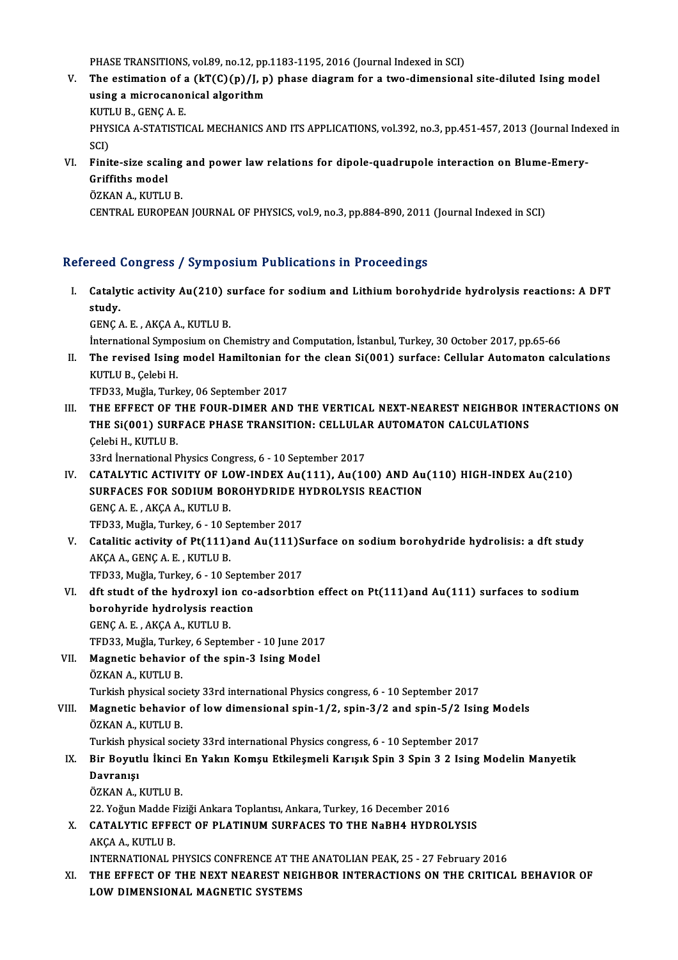PHASE TRANSITIONS, vol.89, no.12, pp.1183-1195, 2016 (Journal Indexed in SCI)<br>The estimation of a (kT(C)(n)(Ln) nhase disgram for a two dimensione

- V. The estimation of a  $(kT(C)(p)/J, p)$  phase diagram for a two-dimensional site-diluted Ising model<br>using a microcanonical algorithm PHASE TRANSITIONS, vol.89, no.12, pp.<br>The estimation of a (kT(C)(p)/J, p<br>using a microcanonical algorithm<br>VITTUE CENCAE The estimation of a<br>using a microcanoi<br>KUTLU B., GENÇ A. E.<br>PHYSICA A STATISTIC PHYSICA A-STATISTICAL MECHANICS AND ITS APPLICATIONS, vol.392, no.3, pp.451-457, 2013 (Journal Indexed in<br>SCI) KUTI<br>PHYS<br>SCI)<br>Einit PHYSICA A-STATISTICAL MECHANICS AND ITS APPLICATIONS, vol.392, no.3, pp.451-457, 2013 (Journal Inde<br>SCI)<br>VI. Finite-size scaling and power law relations for dipole-quadrupole interaction on Blume-Emery-<br>Criffiths model
- SCI)<br>Finite-size scali<br>Griffiths model<br>ÖZKAN A-KUTU Finite-size scaling<br>Griffiths model<br>ÖZKAN A., KUTLU B.<br>CENTRAL EUROPEA Griffiths model<br>ÖZKAN A., KUTLU B.<br>CENTRAL EUROPEAN JOURNAL OF PHYSICS, vol.9, no.3, pp.884-890, 2011 (Journal Indexed in SCI)

## Refereed Congress / Symposium Publications in Proceedings

efereed Congress / Symposium Publications in Proceedings<br>I. Catalytic activity Au(210) surface for sodium and Lithium borohydride hydrolysis reactions: A DFT<br>Atudy reed<br>Cataly<br>study. study.<br>GENÇ A. E. , AKÇA A., KUTLU B. study.<br>GENÇ A. E. , AKÇA A., KUTLU B.<br>İnternational Symposium on Chemistry and Computation, İstanbul, Turkey, 30 October 2017, pp.65-66<br>The nevised Jeing model Hamiltonian for the clean Si(001), surface: Cellular Automator

GENÇ A. E. , AKÇA A., KUTLU B.<br>International Symposium on Chemistry and Computation, İstanbul, Turkey, 30 October 2017, pp.65-66<br>II. The revised Ising model Hamiltonian for the clean Si(001) surface: Cellular Automaton İnternational Sympe<br>The revised Ising<br>KUTLU B., Çelebi H.<br>TED22 Muğla Turk II. The revised Ising model Hamiltonian for the clean Si(001) surface: Cellular Automaton calculations<br>KUTLU B., Çelebi H.<br>TFD33, Muğla, Turkey, 06 September 2017

III. THE EFFECT OF THE FOUR-DIMER AND THE VERTICAL NEXT-NEAREST NEIGHBOR INTERACTIONS ON TFD33, Muğla, Turkey, 06 September 2017<br>THE EFFECT OF THE FOUR-DIMER AND THE VERTICAL NEXT-NEAREST NEIGHBOR IN<br>THE Si(001) SURFACE PHASE TRANSITION: CELLULAR AUTOMATON CALCULATIONS<br>Celebi H. KUTHU P THE EFFECT OF T<br>THE Si(001) SUR:<br>Çelebi H., KUTLU B.<br>22rd inernational B THE Si(001) SURFACE PHASE TRANSITION: CELLULA<br>Celebi H., KUTLU B.<br>33rd Inernational Physics Congress, 6 - 10 September 2017<br>CATALYTIC ACTIVITY OF LOW INDEY An(111), An(10

- Celebi H., KUTLU B.<br>33rd Inernational Physics Congress, 6 10 September 2017<br>IV. CATALYTIC ACTIVITY OF LOW-INDEX Au(111), Au(100) AND Au(110) HIGH-INDEX Au(210)<br>SURFACES FOR SODIUM ROROUVORIDE UVDROLYSIS REACTION 33rd Inernational Physics Congress, 6 - 10 September 2017<br>CATALYTIC ACTIVITY OF LOW-INDEX Au(111), Au(100) AND Au<br>SURFACES FOR SODIUM BOROHYDRIDE HYDROLYSIS REACTION<br>CENCA E AKCAA KUTHU P **CATALYTIC ACTIVITY OF LO<br>SURFACES FOR SODIUM BO<br>GENÇ A. E., AKÇA A., KUTLU B.<br>TED22 Muğla Turkov 6 - 10 S.** SURFACES FOR SODIUM BOROHYDRIDE HYDROLYSIS REACTION<br>GENÇ A. E., AKÇA A., KUTLU B.<br>TFD33, Muğla, Turkey, 6 - 10 September 2017 GENÇ A. E. , AKÇA A., KUTLU B.<br>TFD33, Muğla, Turkey, 6 - 10 September 2017<br>V. Catalitic activity of Pt(111)and Au(111)Surface on sodium borohydride hydrolisis: a dft study<br>AKÇA A. CENÇ A. E. KUTLU B.
- TFD33, Muğla, Turkey, 6 10 S<br>Catalitic activity of Pt(111)<br>AKÇA A., GENÇ A. E. , KUTLU B.<br>TED33, Muğla Turkey, 6 10 S. Catalitic activity of Pt(111)and Au(111)S<br>AKÇA A., GENÇ A. E. , KUTLU B.<br>TFD33, Muğla, Turkey, 6 - 10 September 2017 AKÇA A., GENÇ A. E. , KUTLU B.<br>TFD33, Muğla, Turkey, 6 - 10 September 2017<br>VI. dft studt of the hydroxyl ion co-adsorbtion effect on Pt(111)and Au(111) surfaces to sodium<br>bereburide bydrolygis reastion
- TFD33, Muğla, Turkey, 6 10 Septem<br>dft studt of the hydroxyl ion co-<br>borohyride hydrolysis reaction borohyride hydrolysis reaction<br>GENÇ A. E. , AKÇA A., KUTLU B. borohyride hydrolysis reaction<br>GENÇ A. E. , AKÇA A., KUTLU B.<br>TFD33, Muğla, Turkey, 6 September - 10 June 2017<br>Magnetis behavier of the spin 3 Jsing Model
- VII. Magnetic behavior of the spin-3 Ising Model<br>ÖZKAN A., KUTLU B. TFD33, Muğla, Turke<br><mark>Magnetic behavior</mark><br>ÖZKAN A., KUTLU B.<br>Turkich physical 900

Turkish physical society 33rd international Physics congress, 6 - 10 September 2017

ÖZKAN A., KUTLU B.<br>Turkish physical society 33rd international Physics congress, 6 - 10 September 2017<br>VIII. Magnetic behavior of low dimensional spin-1/2, spin-3/2 and spin-5/2 Ising Models<br>ÖZKAN A. KUTHU B Turkish physical soc<br><mark>Magnetic behavior</mark><br>ÖZKAN A., KUTLU B.<br>Turkish physical soc Magnetic behavior of low dimensional spin-1/2, spin-3/2 and spin-5/2 Isin<br>ÖZKAN A., KUTLU B.<br>Turkish physical society 33rd international Physics congress, 6 - 10 September 2017<br>Pir Bouutly Utingi En Yokun Komay Etkilosmali

Turkish physical society 33rd international Physics congress, 6 - 10 September 2017

## ÖZKAN A., KUTLU B.<br>Turkish physical society 33rd international Physics congress, 6 - 10 September 2017<br>IX. Bir Boyutlu İkinci En Yakın Komşu Etkileşmeli Karışık Spin 3 Spin 3 2 Ising Modelin Manyetik<br>Davranısı ÖZKAN A., KUTLU B. Davranışı<br>ÖZKAN A., KUTLU B.<br>22. Yoğun Madde Fiziği Ankara Toplantısı, Ankara, Turkey, 16 December 2016<br>CATALYTIC EEEECT OF BLATINUM SUPEACES TO TUE NoPHA HYDPOL

X. CATALYTIC EFFECT OF PLATINUM SURFACES TO THE NaBH4 HYDROLYSIS<br>AKCA A., KUTLU B. 22. Yoğun Madde F<br>CATALYTIC EFFE<br>AKÇA A., KUTLU B.<br>INTERNATIONAL B CATALYTIC EFFECT OF PLATINUM SURFACES TO THE NaBH4 HYDROLYSIS<br>AKÇA A., KUTLU B.<br>INTERNATIONAL PHYSICS CONFRENCE AT THE ANATOLIAN PEAK, 25 - 27 February 2016<br>THE EFFECT OF THE NEXT NEAREST NEICHBOR INTERACTIONS ON THE CRITI

XI. THE EFFECT OF THE NEXT NEAREST NEIGHBOR INTERACTIONS ON THE CRITICAL BEHAVIOR OF LOW DIMENSIONAL MAGNETIC SYSTEMS INTERNATIONAL PHYSICS CONFRENCE AT TH<br>THE EFFECT OF THE NEXT NEAREST NEI<br>LOW DIMENSIONAL MAGNETIC SYSTEMS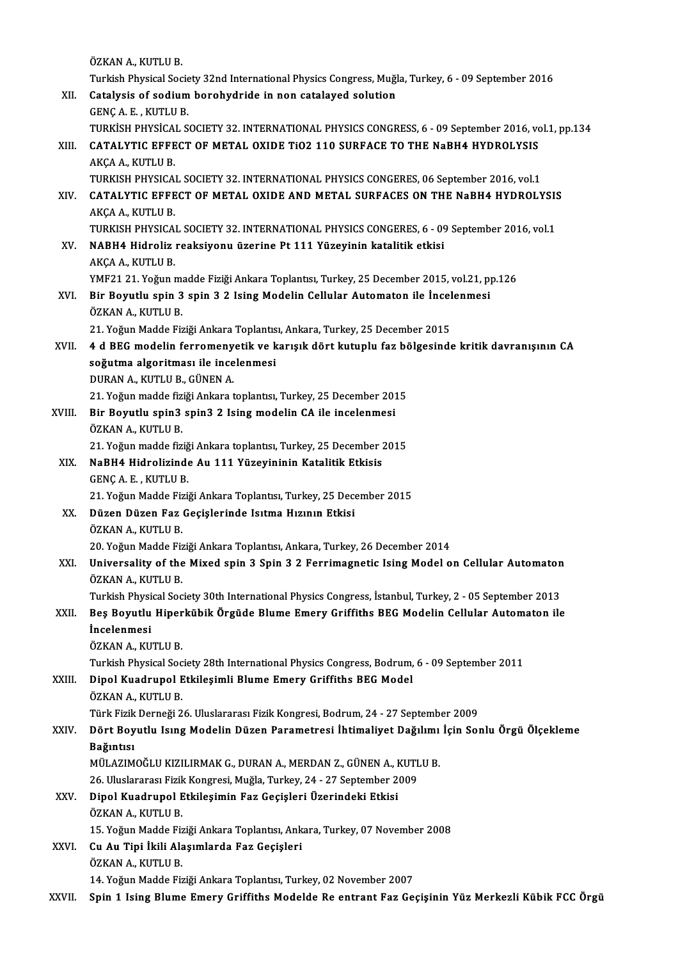ÖZKAN A., KUTLU B.

Turkish Physical Society 32nd International Physics Congress, Muğla, Turkey, 6 - 09 September 2016 ÖZKAN A., KUTLU B.<br>Turkish Physical Society 32nd International Physics Congress, Muğl<br>XII. Catalysis of sodium borohydride in non catalayed solution<br>CENC A. E. KUTHU B. Turkish Physical Socie<br>Catalysis of sodium<br>GENÇ A. E. , KUTLU B.<br>TURKISH BHYSICAL S

Catalysis of sodium borohydride in non catalayed solution<br>GENÇ A. E. , KUTLU B.<br>TURKİSH PHYSİCAL SOCIETY 32. INTERNATIONAL PHYSICS CONGRESS, 6 - 09 September 2016, vol.1, pp.134<br>CATAL YTIC EEEECT OF METAL OYIDE TiO2 110 SU GENÇ A. E. , KUTLU B.<br>TURKİSH PHYSİCAL SOCIETY 32. INTERNATIONAL PHYSICS CONGRESS, 6 - 09 September 2016, vc<br>XIII. CATALYTIC EFFECT OF METAL OXIDE TiO2 110 SURFACE TO THE NaBH4 HYDROLYSIS<br>AKCA A. KUTLU P TURKİSH PHYSİCA<br>CATALYTIC EFFE<br>AKÇA A., KUTLU B.<br>TURKEH BHYSICA XIII. CATALYTIC EFFECT OF METAL OXIDE TIO2 110 SURFACE TO THE NaBH4 HYDROLYSIS<br>AKCA A., KUTLU B. AKÇA A., KUTLU B.<br>TURKISH PHYSICAL SOCIETY 32. INTERNATIONAL PHYSICS CONGERES, 06 September 2016, vol.1<br>XIV. CATALYTIC EFFECT OF METAL OXIDE AND METAL SURFACES ON THE NaBH4 HYDROLYSIS<br>AKCA A. KUTLU B TURKISH PHYSICAL SOCIETY 32. INTERNATIONAL PHYSICS CONGERES, 06 September 2016, vol.1 CATALYTIC EFFECT OF METAL OXIDE AND METAL SURFACES ON THE NaBH4 HYDROL!<br>AKÇA A., KUTLU B. CATALYTIC EFFECT OF METAL OXIDE AND METAL SURFACES ON THE NaBH4 HYDROLYSIS<br>AKÇA A., KUTLU B.<br>TURKISH PHYSICAL SOCIETY 32. INTERNATIONAL PHYSICS CONGERES, 6 - 09 September 2016, vol.1<br>NABH4 Hidroliz reaksiyonu üzerine Pt 11

TURKISH PHYSICAL SOCIETY 32. INTERNATIONAL PHYSICS CONGERES, 6 - 09 September 2016, vol 1

- XV. NABH4 Hidroliz reaksiyonu üzerine Pt 111 Yüzeyinin katalitik etkisi NABH4 Hidroliz reaksiyonu üzerine Pt 111 Yüzeyinin katalitik etkisi<br>AKÇA A., KUTLU B.<br>YMF21 21. Yoğun madde Fiziği Ankara Toplantısı, Turkey, 25 December 2015, vol.21, pp.126<br>Bir Boyutlu opin 3 opin 3 3 Jeing Modelin Cellu AKÇA A., KUTLU B.<br>YMF21 21. Yoğun madde Fiziği Ankara Toplantısı, Turkey, 25 December 2015, vol.21, p<br>XVI. Bir Boyutlu spin 3 spin 3 2 Ising Modelin Cellular Automaton ile İncelenmesi<br>ÖZKAN A. KUTU U B.
- YMF21 21. Yoğun ma<br>Bir Boyutlu spin 3<br>ÖZKAN A., KUTLU B.<br>21. Yoğun Madda Fir Bir Boyutlu spin 3 spin 3 2 Ising Modelin Cellular Automaton ile İncel<br>ÖZKAN A., KUTLU B.<br>21. Yoğun Madde Fiziği Ankara Toplantısı, Ankara, Turkey, 25 December 2015<br>4 d BEC modelin farromanyatik ve karısık dönt kutunlu far

21. Yoğun Madde Fiziği Ankara Toplantısı, Ankara, Turkey, 25 December 2015

- ÖZKAN A., KUTLU B.<br>21. Yoğun Madde Fiziği Ankara Toplantısı, Ankara, Turkey, 25 December 2015<br>XVII. 4 d BEG modelin ferromenyetik ve karışık dört kutuplu faz bölgesinde kritik davranışının CA<br>soğutma algoritması ile incele DURAN A., KUTLU B., GÜNEN A. soğutma algoritması ile incelenmesi<br>DURAN A., KUTLU B., GÜNEN A.<br>21. Yoğun madde fiziği Ankara toplantısı, Turkey, 25 December 2015<br>Bir Boyutlu spin3 spin3 2 Jsing modelin GA ile inselenmesi
- XVIII. Bir Boyutlu spin3 spin3 2 Ising modelin CA ile incelenmesi<br>ÖZKAN A., KUTLU B. 21. Yoğun madde fiz<br>Bir Boyutlu spin3<br>ÖZKAN A., KUTLU B.<br>21. Yoğun madde fiz Bir Boyutlu spin3 spin3 2 Ising modelin CA ile incelenmesi<br>ÖZKAN A., KUTLU B.<br>21. Yoğun madde fiziği Ankara toplantısı, Turkey, 25 December 2015<br>NaBHA Hidrolisinde Au 111 Yüzeyininin Katalitik Etkişis

XIX. NaBH4 Hidrolizinde Au 111 Yüzeyininin Katalitik Etkisis 21. Yoğun madde fiziğ<br>NaBH4 Hidrolizinde<br>GENÇ A. E. , KUTLU B.<br>21. Yoğun Madda Fizii NaBH4 Hidrolizinde Au 111 Yüzeyininin Katalitik Etkisis<br>GENÇ A. E. , KUTLU B.<br>21. Yoğun Madde Fiziği Ankara Toplantısı, Turkey, 25 December 2015<br>Düzen Düzen Fez Cosislerinde Jettme Hızının Etkisi

- XX. Düzen Düzen Faz Geçişlerinde Isıtma Hızının Etkisi 21. Yoğun Madde Fiz<br>**Düzen Düzen Faz**<br>ÖZKAN A., KUTLU B.<br>20 Yoğun Madde Fiz Düzen Düzen Faz Geçişlerinde Isıtma Hızının Etkisi<br>ÖZKAN A., KUTLU B.<br>20. Yoğun Madde Fiziği Ankara Toplantısı, Ankara, Turkey, 26 December 2014<br>Universality of the Mived anin 2 Snin 2.2 Ferrimagnetis Ising Model e
- XXI. Universality of the Mixed spin 3 Spin 3 2 Ferrimagnetic Ising Model on Cellular Automaton<br>ÖZKAN A., KUTLU B. 20. Yoğun Madde Fiz<br>Universality of the<br>ÖZKAN A., KUTLU B.<br>Turkish Physisal Sos Universality of the Mixed spin 3 Spin 3 2 Ferrimagnetic Ising Model on Cellular Automaton<br>ÖZKAN A., KUTLU B.<br>Turkish Physical Society 30th International Physics Congress, İstanbul, Turkey, 2 - 05 September 2013<br>Bes Beyutlu

## ÖZKAN A., KUTLU B.<br>Turkish Physical Society 30th International Physics Congress, İstanbul, Turkey, 2 - 05 September 2013<br>XXII. Beş Boyutlu Hiperkübik Örgüde Blume Emery Griffiths BEG Modelin Cellular Automaton ile<br>İnce Turkish Physi<br>Beş Boyutlu<br>İncelenmesi<br>ÖZKAN ALKI Beş Boyutlu Hiper<br>İncelenmesi<br>ÖZKAN A., KUTLU B.<br>Turkish Physisal Sos İncelenmesi<br>ÖZKAN A., KUTLU B.<br>Turkish Physical Society 28th International Physics Congress, Bodrum, 6 - 09 September 2011

# ÖZKAN A., KUTLU B.<br>Turkish Physical Society 28th International Physics Congress, Bodrum,<br>XXIII. Dipol Kuadrupol Etkileşimli Blume Emery Griffiths BEG Model<br>ÖZKAN A. KUTI U B Turkish Physical Soc<br>Dipol Kuadrupol E<br>ÖZKAN A., KUTLU B.<br>Türk Eirik Derneği 2

ÖZKAN A., KUTLU B.<br>Türk Fizik Derneği 26. Uluslararası Fizik Kongresi, Bodrum, 24 - 27 September 2009

## ÖZKAN A., KUTLU B.<br>Türk Fizik Derneği 26. Uluslararası Fizik Kongresi, Bodrum, 24 - 27 September 2009<br>XXIV. Dört Boyutlu Isıng Modelin Düzen Parametresi İhtimaliyet Dağılımı İçin Sonlu Örgü Ölçekleme<br>Roğuntısı Türk Fizik<br><mark>Dört Boy</mark><br>Bağıntısı<br>Mül AzıM Dört Boyutlu Isıng Modelin Düzen Parametresi İhtimaliyet Dağılımı<br>Bağıntısı<br>MÜLAZIMOĞLU KIZILIRMAK G., DURAN A., MERDAN Z., GÜNEN A., KUTLU B.<br>26 Hluckresses Eizik Kongresi Muğla Turkey 24, 27 September 2009 Bağıntısı<br>MÜLAZIMOĞLU KIZILIRMAK G., DURAN A., MERDAN Z., GÜNEN A., KUTLU B.

## 26. Uluslararası Fizik Kongresi, Muğla, Turkey, 24 - 27 September 2009

# XXV. Dipol Kuadrupol Etkileşimin Faz Geçişleri Üzerindeki Etkisi ÖZKAN A., KUTLU B.<br>15. Yoğun Madde Fiziği Ankara Toplantısı, Ank<br>XXVI. Cu Au Tipi İkili Alaşımlarda Faz Geçişleri<br>ÖZKAN A. KUTU U P

15. Yoğun Madde Fiziği Ankara Toplantısı, Ankara, Turkey, 07 November 2008

15. Yoğun Madde Fiz<br>Cu Au Tipi İkili Ala<br>ÖZKAN A., KUTLU B.<br>14. Yoğun Madde Fiz ÖZKAN A., KUTLU B.<br>14. Yoğun Madde Fiziği Ankara Toplantısı, Turkey, 02 November 2007

XXVII. Spin 1 Ising Blume Emery Griffiths Modelde Re entrant Faz Geçişinin Yüz Merkezli Kübik FCC Örgü